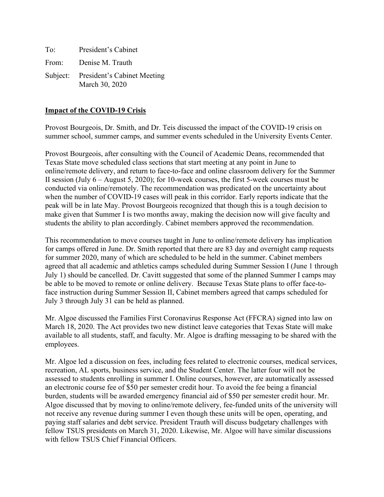To: President's Cabinet From: Denise M. Trauth Subject: President's Cabinet Meeting March 30, 2020

### **Impact of the COVID-19 Crisis**

Provost Bourgeois, Dr. Smith, and Dr. Teis discussed the impact of the COVID-19 crisis on summer school, summer camps, and summer events scheduled in the University Events Center.

Provost Bourgeois, after consulting with the Council of Academic Deans, recommended that Texas State move scheduled class sections that start meeting at any point in June to online/remote delivery, and return to face-to-face and online classroom delivery for the Summer II session (July 6 – August 5, 2020); for 10-week courses, the first 5-week courses must be conducted via online/remotely. The recommendation was predicated on the uncertainty about when the number of COVID-19 cases will peak in this corridor. Early reports indicate that the peak will be in late May. Provost Bourgeois recognized that though this is a tough decision to make given that Summer I is two months away, making the decision now will give faculty and students the ability to plan accordingly. Cabinet members approved the recommendation.

This recommendation to move courses taught in June to online/remote delivery has implication for camps offered in June. Dr. Smith reported that there are 83 day and overnight camp requests for summer 2020, many of which are scheduled to be held in the summer. Cabinet members agreed that all academic and athletics camps scheduled during Summer Session I (June 1 through July 1) should be cancelled. Dr. Cavitt suggested that some of the planned Summer I camps may be able to be moved to remote or online delivery. Because Texas State plans to offer face-toface instruction during Summer Session II, Cabinet members agreed that camps scheduled for July 3 through July 31 can be held as planned.

Mr. Algoe discussed the Families First Coronavirus Response Act (FFCRA) signed into law on March 18, 2020. The Act provides two new distinct leave categories that Texas State will make available to all students, staff, and faculty. Mr. Algoe is drafting messaging to be shared with the employees.

Mr. Algoe led a discussion on fees, including fees related to electronic courses, medical services, recreation, AL sports, business service, and the Student Center. The latter four will not be assessed to students enrolling in summer I. Online courses, however, are automatically assessed an electronic course fee of \$50 per semester credit hour. To avoid the fee being a financial burden, students will be awarded emergency financial aid of \$50 per semester credit hour. Mr. Algoe discussed that by moving to online/remote delivery, fee-funded units of the university will not receive any revenue during summer I even though these units will be open, operating, and paying staff salaries and debt service. President Trauth will discuss budgetary challenges with fellow TSUS presidents on March 31, 2020. Likewise, Mr. Algoe will have similar discussions with fellow TSUS Chief Financial Officers.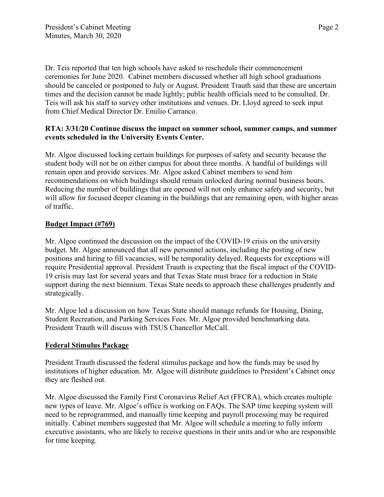Dr. Teis reported that ten high schools have asked to reschedule their commencement ceremonies for June 2020. Cabinet members discussed whether all high school graduations should be canceled or postponed to July or August. President Trauth said that these are uncertain times and the decision cannot be made lightly; public health officials need to be consulted. Dr. Teis will ask his staff to survey other institutions and venues. Dr. Lloyd agreed to seek input from Chief Medical Director Dr. Emilio Carranco.

## **RTA: 3/31/20 Continue discuss the impact on summer school, summer camps, and summer events scheduled in the University Events Center.**

Mr. Algoe discussed locking certain buildings for purposes of safety and security because the student body will not be on either campus for about three months. A handful of buildings will remain open and provide services. Mr. Algoe asked Cabinet members to send him recommendations on which buildings should remain unlocked during normal business hours. Reducing the number of buildings that are opened will not only enhance safety and security, but will allow for focused deeper cleaning in the buildings that are remaining open, with higher areas of traffic.

# **Budget Impact (#769)**

Mr. Algoe continued the discussion on the impact of the COVID-19 crisis on the university budget. Mr. Algoe announced that all new personnel actions, including the posting of new positions and hiring to fill vacancies, will be temporality delayed. Requests for exceptions will require Presidential approval. President Trauth is expecting that the fiscal impact of the COVID-19 crisis may last for several years and that Texas State must brace for a reduction in State support during the next biennium. Texas State needs to approach these challenges prudently and strategically.

Mr. Algoe led a discussion on how Texas State should manage refunds for Housing, Dining, Student Recreation, and Parking Services Fees. Mr. Algoe provided benchmarking data. President Trauth will discuss with TSUS Chancellor McCall.

## **Federal Stimulus Package**

President Trauth discussed the federal stimulus package and how the funds may be used by institutions of higher education. Mr. Algoe will distribute guidelines to President's Cabinet once they are fleshed out.

Mr. Algoe discussed the Family First Coronavirus Relief Act (FFCRA), which creates multiple new types of leave. Mr. Algoe's office is working on FAQs. The SAP time keeping system will need to be reprogrammed, and manually time keeping and payroll processing may be required initially. Cabinet members suggested that Mr. Algoe will schedule a meeting to fully inform executive assistants, who are likely to receive questions in their units and/or who are responsible for time keeping.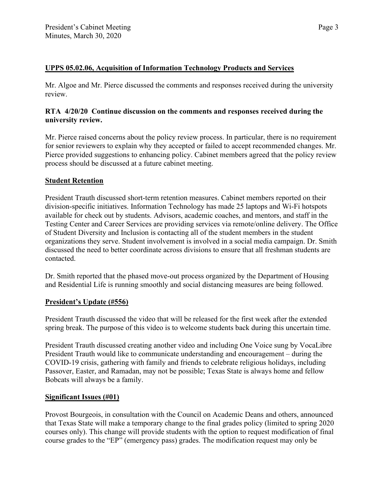### **UPPS 05.02.06, Acquisition of Information Technology Products and Services**

Mr. Algoe and Mr. Pierce discussed the comments and responses received during the university review.

### **RTA 4/20/20 Continue discussion on the comments and responses received during the university review.**

Mr. Pierce raised concerns about the policy review process. In particular, there is no requirement for senior reviewers to explain why they accepted or failed to accept recommended changes. Mr. Pierce provided suggestions to enhancing policy. Cabinet members agreed that the policy review process should be discussed at a future cabinet meeting.

### **Student Retention**

President Trauth discussed short-term retention measures. Cabinet members reported on their division-specific initiatives. Information Technology has made 25 laptops and Wi-Fi hotspots available for check out by students. Advisors, academic coaches, and mentors, and staff in the Testing Center and Career Services are providing services via remote/online delivery. The Office of Student Diversity and Inclusion is contacting all of the student members in the student organizations they serve. Student involvement is involved in a social media campaign. Dr. Smith discussed the need to better coordinate across divisions to ensure that all freshman students are contacted.

Dr. Smith reported that the phased move-out process organized by the Department of Housing and Residential Life is running smoothly and social distancing measures are being followed.

#### **President's Update (#556)**

President Trauth discussed the video that will be released for the first week after the extended spring break. The purpose of this video is to welcome students back during this uncertain time.

President Trauth discussed creating another video and including One Voice sung by VocaLibre President Trauth would like to communicate understanding and encouragement – during the COVID-19 crisis, gathering with family and friends to celebrate religious holidays, including Passover, Easter, and Ramadan, may not be possible; Texas State is always home and fellow Bobcats will always be a family.

#### **Significant Issues (#01)**

Provost Bourgeois, in consultation with the Council on Academic Deans and others, announced that Texas State will make a temporary change to the final grades policy (limited to spring 2020 courses only). This change will provide students with the option to request modification of final course grades to the "EP" (emergency pass) grades. The modification request may only be